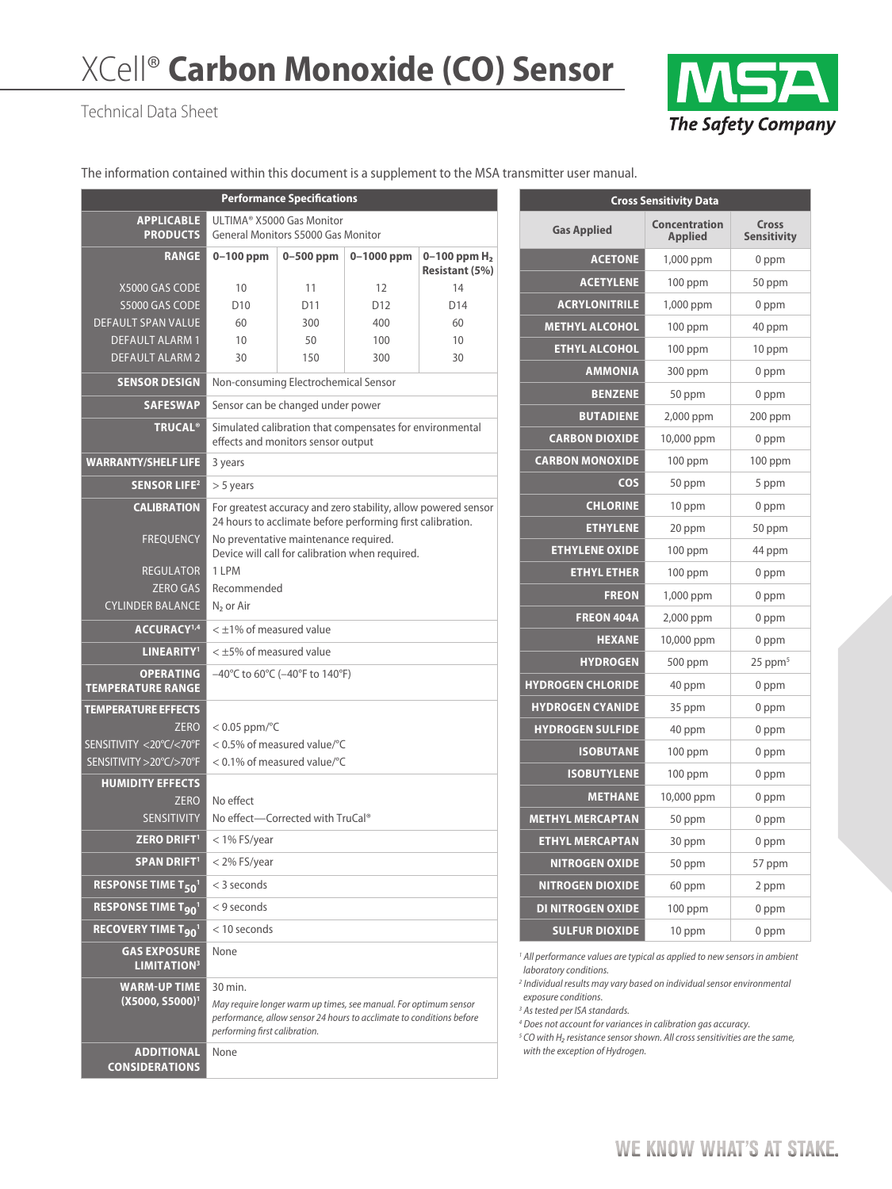# XCell® **Carbon Monoxide (CO) Sensor**

#### Technical Data Sheet



The information contained within this document is a supplement to the MSA transmitter user manual.

| <b>Performance Specifications</b>                |                                                                                                                                                                           |                 |                 |                       |  |  |
|--------------------------------------------------|---------------------------------------------------------------------------------------------------------------------------------------------------------------------------|-----------------|-----------------|-----------------------|--|--|
| <b>APPLICABLE</b><br><b>PRODUCTS</b>             | ULTIMA® X5000 Gas Monitor<br><b>General Monitors S5000 Gas Monitor</b>                                                                                                    |                 |                 |                       |  |  |
| <b>RANGE</b>                                     | $0-100$ ppm                                                                                                                                                               | $0-500$ ppm     | $0 - 1000$ ppm  | 0-100 ppm $H_2$       |  |  |
|                                                  |                                                                                                                                                                           |                 |                 | <b>Resistant (5%)</b> |  |  |
| X5000 GAS CODE                                   | 10                                                                                                                                                                        | 11              | 12              | 14                    |  |  |
| S5000 GAS CODE                                   | D <sub>10</sub>                                                                                                                                                           | D <sub>11</sub> | D <sub>12</sub> | D14                   |  |  |
| <b>DEFAULT SPAN VALUE</b>                        | 60                                                                                                                                                                        | 300             | 400             | 60                    |  |  |
| <b>DEFAULT ALARM 1</b><br><b>DEFAULT ALARM 2</b> | 10<br>30                                                                                                                                                                  | 50<br>150       | 100<br>300      | 10<br>30              |  |  |
|                                                  |                                                                                                                                                                           |                 |                 |                       |  |  |
| <b>SENSOR DESIGN</b>                             | Non-consuming Electrochemical Sensor                                                                                                                                      |                 |                 |                       |  |  |
| <b>SAFESWAP</b>                                  | Sensor can be changed under power                                                                                                                                         |                 |                 |                       |  |  |
| <b>TRUCAL®</b>                                   | Simulated calibration that compensates for environmental<br>effects and monitors sensor output                                                                            |                 |                 |                       |  |  |
| <b>WARRANTY/SHELF LIFE</b>                       | 3 years                                                                                                                                                                   |                 |                 |                       |  |  |
| <b>SENSOR LIFE<sup>2</sup></b>                   | $> 5$ years                                                                                                                                                               |                 |                 |                       |  |  |
| <b>CALIBRATION</b>                               | For greatest accuracy and zero stability, allow powered sensor<br>24 hours to acclimate before performing first calibration.                                              |                 |                 |                       |  |  |
| <b>FREQUENCY</b>                                 | No preventative maintenance required.<br>Device will call for calibration when required.                                                                                  |                 |                 |                       |  |  |
| <b>REGULATOR</b>                                 | 1 LPM                                                                                                                                                                     |                 |                 |                       |  |  |
| <b>ZERO GAS</b>                                  | Recommended                                                                                                                                                               |                 |                 |                       |  |  |
| <b>CYLINDER BALANCE</b>                          | N <sub>2</sub> or Air                                                                                                                                                     |                 |                 |                       |  |  |
| ACCURACY <sup>1,4</sup>                          | $<$ $\pm$ 1% of measured value                                                                                                                                            |                 |                 |                       |  |  |
| LINEARITY <sup>1</sup>                           | $<$ $\pm$ 5% of measured value                                                                                                                                            |                 |                 |                       |  |  |
| <b>OPERATING</b><br><b>TEMPERATURE RANGE</b>     | $-40^{\circ}$ C to 60 $^{\circ}$ C ( $-40^{\circ}$ F to 140 $^{\circ}$ F)                                                                                                 |                 |                 |                       |  |  |
| <b>TEMPERATURE EFFECTS</b>                       |                                                                                                                                                                           |                 |                 |                       |  |  |
| <b>ZERO</b>                                      | $< 0.05$ ppm/ $oC$                                                                                                                                                        |                 |                 |                       |  |  |
| SENSITIVITY <20°C/<70°F                          | < 0.5% of measured value/°C                                                                                                                                               |                 |                 |                       |  |  |
| SENSITIVITY > 20°C/>70°F                         | < 0.1% of measured value/°C                                                                                                                                               |                 |                 |                       |  |  |
| <b>HUMIDITY EFFECTS</b>                          |                                                                                                                                                                           |                 |                 |                       |  |  |
| <b>ZERO</b>                                      | No effect                                                                                                                                                                 |                 |                 |                       |  |  |
| <b>SENSITIVITY</b>                               | No effect-Corrected with TruCal®                                                                                                                                          |                 |                 |                       |  |  |
| <b>ZERO DRIFT1</b>                               | $<$ 1% FS/year                                                                                                                                                            |                 |                 |                       |  |  |
| <b>SPAN DRIFT1</b>                               | < 2% FS/year                                                                                                                                                              |                 |                 |                       |  |  |
| <b>RESPONSE TIME T501</b>                        | < 3 seconds                                                                                                                                                               |                 |                 |                       |  |  |
| <b>RESPONSE TIME T<sub>90</sub></b>              | $<$ 9 seconds                                                                                                                                                             |                 |                 |                       |  |  |
| RECOVERY TIME T <sub>90</sub> <sup>1</sup>       | $<$ 10 seconds                                                                                                                                                            |                 |                 |                       |  |  |
| <b>GAS EXPOSURE</b><br><b>LIMITATION3</b>        | None                                                                                                                                                                      |                 |                 |                       |  |  |
| <b>WARM-UP TIME</b>                              | 30 min.                                                                                                                                                                   |                 |                 |                       |  |  |
| $(X5000, S5000)^1$                               | May require longer warm up times, see manual. For optimum sensor<br>performance, allow sensor 24 hours to acclimate to conditions before<br>performing first calibration. |                 |                 |                       |  |  |
| <b>ADDITIONAL</b><br><b>CONSIDERATIONS</b>       | None                                                                                                                                                                      |                 |                 |                       |  |  |

| <b>Cross Sensitivity Data</b> |                                 |                             |  |  |  |
|-------------------------------|---------------------------------|-----------------------------|--|--|--|
| <b>Gas Applied</b>            | Concentration<br><b>Applied</b> | Cross<br><b>Sensitivity</b> |  |  |  |
| <b>ACETONE</b>                | 1,000 ppm                       | 0 ppm                       |  |  |  |
| <b>ACETYLENE</b>              | $100$ ppm                       | 50 ppm                      |  |  |  |
| <b>ACRYLONITRILE</b>          | 1,000 ppm                       | 0 ppm                       |  |  |  |
| <b>METHYL ALCOHOL</b>         | $100$ ppm                       | 40 ppm                      |  |  |  |
| <b>ETHYL ALCOHOL</b>          | 100 ppm                         | 10 ppm                      |  |  |  |
| <b>AMMONIA</b>                | 300 ppm                         | 0 ppm                       |  |  |  |
| <b>BENZENE</b>                | 50 ppm                          | 0 ppm                       |  |  |  |
| <b>BUTADIENE</b>              | 2,000 ppm                       | $200$ ppm                   |  |  |  |
| <b>CARBON DIOXIDE</b>         | 10,000 ppm                      | 0 ppm                       |  |  |  |
| <b>CARBON MONOXIDE</b>        | $100$ ppm                       | $100$ ppm                   |  |  |  |
| <b>COS</b>                    | 50 ppm                          | 5 ppm                       |  |  |  |
| <b>CHLORINE</b>               | 10 ppm                          | 0 ppm                       |  |  |  |
| <b>ETHYLENE</b>               | 20 ppm                          | 50 ppm                      |  |  |  |
| <b>ETHYLENE OXIDE</b>         | $100$ ppm                       | 44 ppm                      |  |  |  |
| <b>ETHYL ETHER</b>            | $100$ ppm                       | 0 ppm                       |  |  |  |
| <b>FREON</b>                  | 1,000 ppm                       | 0 ppm                       |  |  |  |
| <b>FREON 404A</b>             | 2,000 ppm                       | 0 ppm                       |  |  |  |
| <b>HEXANE</b>                 | 10,000 ppm                      | 0 ppm                       |  |  |  |
| <b>HYDROGEN</b>               | 500 ppm                         | $25$ ppm <sup>5</sup>       |  |  |  |
| <b>HYDROGEN CHLORIDE</b>      | 40 ppm                          | 0 ppm                       |  |  |  |
| <b>HYDROGEN CYANIDE</b>       | 35 ppm                          | 0 ppm                       |  |  |  |
| <b>HYDROGEN SULFIDE</b>       | 40 ppm                          | 0 ppm                       |  |  |  |
| <b>ISOBUTANE</b>              | $100$ ppm                       | 0 ppm                       |  |  |  |
| <b>ISOBUTYLENE</b>            | $100$ ppm                       | 0 ppm                       |  |  |  |
| <b>METHANE</b>                | 10,000 ppm                      | 0 ppm                       |  |  |  |
| <b>METHYL MERCAPTAN</b>       | 50 ppm                          | 0 ppm                       |  |  |  |
| <b>ETHYL MERCAPTAN</b>        | 30 ppm                          | 0 ppm                       |  |  |  |
| <b>NITROGEN OXIDE</b>         | 50 ppm                          | 57 ppm                      |  |  |  |
| <b>NITROGEN DIOXIDE</b>       | 60 ppm                          | 2 ppm                       |  |  |  |
| <b>DI NITROGEN OXIDE</b>      | $100$ ppm                       | 0 ppm                       |  |  |  |
| <b>SULFUR DIOXIDE</b>         | 10 ppm                          | 0 ppm                       |  |  |  |

<sup>1</sup> All performance values are typical as applied to new sensors in ambient *laboratory conditions.*

*2 Individual results may vary based on individual sensor environmental exposure conditions.*

*3 As tested per ISA standards.*

*4 Does not account for variances in calibration gas accuracy.*

*<sup>5</sup> CO with H₂ resistance sensor shown. All cross sensitivities are the same, with the exception of Hydrogen.*